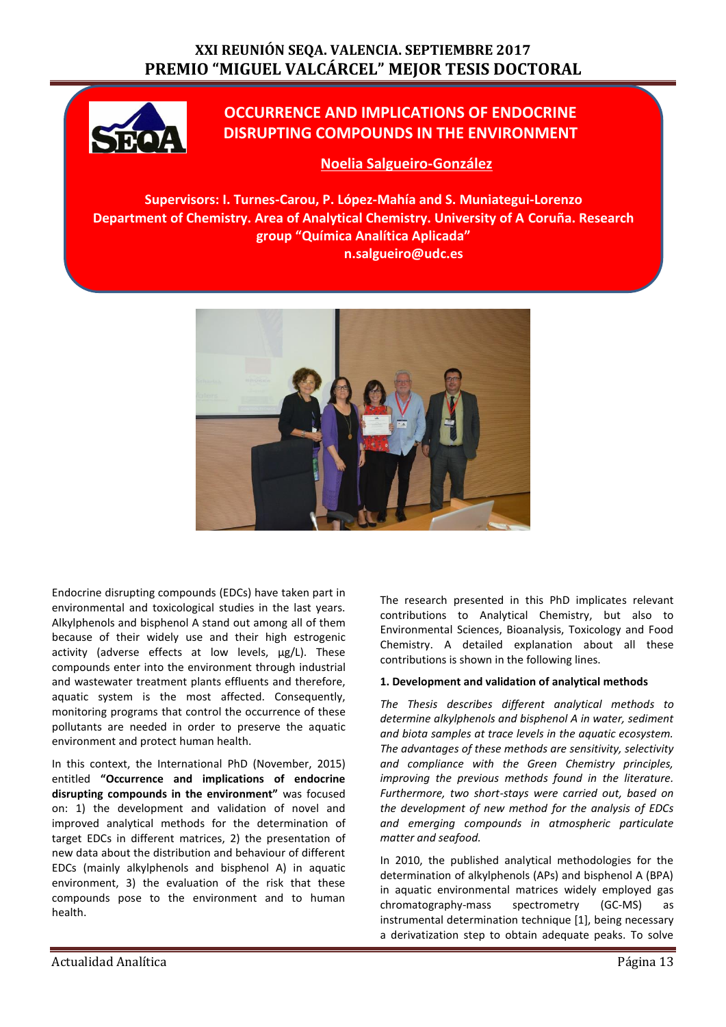## **XXI REUNIÓN SEQA. VALENCIA. SEPTIEMBRE 2017 PREMIO "MIGUEL VALCÁRCEL" MEJOR TESIS DOCTORAL**



# **OCCURRENCE AND IMPLICATIONS OF ENDOCRINE DISRUPTING COMPOUNDS IN THE ENVIRONMENT**

## **Noelia Salgueiro-González**

**Supervisors: I. Turnes-Carou, P. López-Mahía and S. Muniategui-Lorenzo Department of Chemistry. Area of Analytical Chemistry. University of A Coruña. Research group "Química Analítica Aplicada" n.salgueiro@udc.es**



Endocrine disrupting compounds (EDCs) have taken part in environmental and toxicological studies in the last years. Alkylphenols and bisphenol A stand out among all of them because of their widely use and their high estrogenic activity (adverse effects at low levels,  $\mu$ g/L). These compounds enter into the environment through industrial and wastewater treatment plants effluents and therefore, aquatic system is the most affected. Consequently, monitoring programs that control the occurrence of these pollutants are needed in order to preserve the aquatic environment and protect human health.

In this context, the International PhD (November, 2015) entitled **"Occurrence and implications of endocrine disrupting compounds in the environment"** was focused on: 1) the development and validation of novel and improved analytical methods for the determination of target EDCs in different matrices, 2) the presentation of new data about the distribution and behaviour of different EDCs (mainly alkylphenols and bisphenol A) in aquatic environment, 3) the evaluation of the risk that these compounds pose to the environment and to human health.

The research presented in this PhD implicates relevant contributions to Analytical Chemistry, but also to Environmental Sciences, Bioanalysis, Toxicology and Food Chemistry. A detailed explanation about all these contributions is shown in the following lines.

#### **1. Development and validation of analytical methods**

*The Thesis describes different analytical methods to determine alkylphenols and bisphenol A in water, sediment and biota samples at trace levels in the aquatic ecosystem. The advantages of these methods are sensitivity, selectivity and compliance with the Green Chemistry principles, improving the previous methods found in the literature. Furthermore, two short-stays were carried out, based on the development of new method for the analysis of EDCs and emerging compounds in atmospheric particulate matter and seafood.*

In 2010, the published analytical methodologies for the determination of alkylphenols (APs) and bisphenol A (BPA) in aquatic environmental matrices widely employed gas chromatography-mass spectrometry (GC-MS) as instrumental determination technique [1], being necessary a derivatization step to obtain adequate peaks. To solve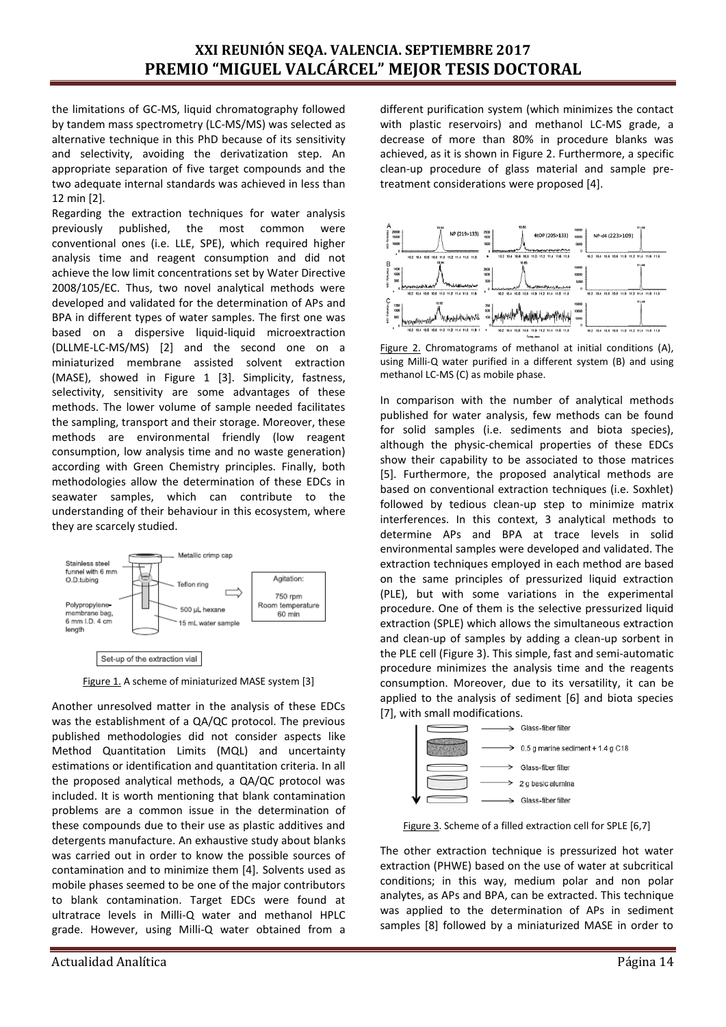the limitations of GC-MS, liquid chromatography followed by tandem mass spectrometry (LC-MS/MS) was selected as alternative technique in this PhD because of its sensitivity and selectivity, avoiding the derivatization step. An appropriate separation of five target compounds and the two adequate internal standards was achieved in less than 12 min [2].

Regarding the extraction techniques for water analysis previously published, the most common were conventional ones (i.e. LLE, SPE), which required higher analysis time and reagent consumption and did not achieve the low limit concentrations set by Water Directive 2008/105/EC. Thus, two novel analytical methods were developed and validated for the determination of APs and BPA in different types of water samples. The first one was based on a dispersive liquid-liquid microextraction (DLLME-LC-MS/MS) [2] and the second one on a miniaturized membrane assisted solvent extraction (MASE), showed in Figure 1 [3]. Simplicity, fastness, selectivity, sensitivity are some advantages of these methods. The lower volume of sample needed facilitates the sampling, transport and their storage. Moreover, these methods are environmental friendly (low reagent consumption, low analysis time and no waste generation) according with Green Chemistry principles. Finally, both methodologies allow the determination of these EDCs in seawater samples, which can contribute to the understanding of their behaviour in this ecosystem, where they are scarcely studied.



Figure 1. A scheme of miniaturized MASE system [3]

Another unresolved matter in the analysis of these EDCs was the establishment of a QA/QC protocol. The previous published methodologies did not consider aspects like Method Quantitation Limits (MQL) and uncertainty estimations or identification and quantitation criteria. In all the proposed analytical methods, a QA/QC protocol was included. It is worth mentioning that blank contamination problems are a common issue in the determination of these compounds due to their use as plastic additives and detergents manufacture. An exhaustive study about blanks was carried out in order to know the possible sources of contamination and to minimize them [4]. Solvents used as mobile phases seemed to be one of the major contributors to blank contamination. Target EDCs were found at ultratrace levels in Milli-Q water and methanol HPLC grade. However, using Milli-Q water obtained from a different purification system (which minimizes the contact with plastic reservoirs) and methanol LC-MS grade, a decrease of more than 80% in procedure blanks was achieved, as it is shown in Figure 2. Furthermore, a specific clean-up procedure of glass material and sample pretreatment considerations were proposed [4].



Figure 2. Chromatograms of methanol at initial conditions (A), using Milli-Q water purified in a different system (B) and using methanol LC-MS (C) as mobile phase.

In comparison with the number of analytical methods published for water analysis, few methods can be found for solid samples (i.e. sediments and biota species), although the physic-chemical properties of these EDCs show their capability to be associated to those matrices [5]. Furthermore, the proposed analytical methods are based on conventional extraction techniques (i.e. Soxhlet) followed by tedious clean-up step to minimize matrix interferences. In this context, 3 analytical methods to determine APs and BPA at trace levels in solid environmental samples were developed and validated. The extraction techniques employed in each method are based on the same principles of pressurized liquid extraction (PLE), but with some variations in the experimental procedure. One of them is the selective pressurized liquid extraction (SPLE) which allows the simultaneous extraction and clean-up of samples by adding a clean-up sorbent in the PLE cell (Figure 3). This simple, fast and semi-automatic procedure minimizes the analysis time and the reagents consumption. Moreover, due to its versatility, it can be applied to the analysis of sediment [6] and biota species [7], with small modifications.



Figure 3. Scheme of a filled extraction cell for SPLE [6,7]

The other extraction technique is pressurized hot water extraction (PHWE) based on the use of water at subcritical conditions; in this way, medium polar and non polar analytes, as APs and BPA, can be extracted. This technique was applied to the determination of APs in sediment samples [8] followed by a miniaturized MASE in order to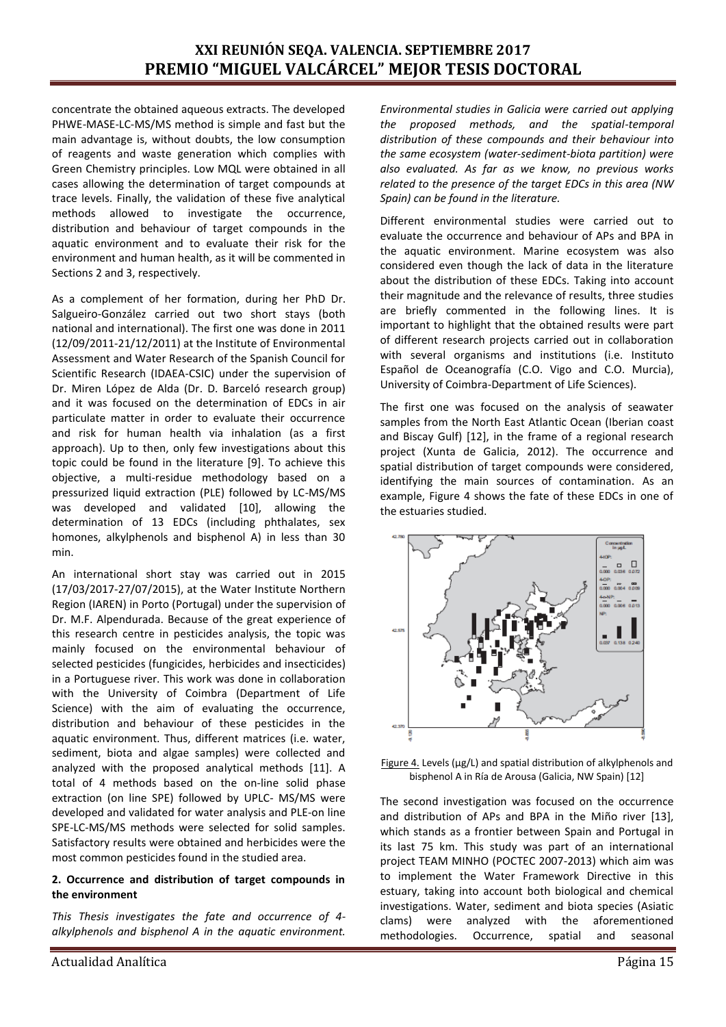## **XXI REUNIÓN SEQA. VALENCIA. SEPTIEMBRE 2017 PREMIO "MIGUEL VALCÁRCEL" MEJOR TESIS DOCTORAL**

concentrate the obtained aqueous extracts. The developed PHWE-MASE-LC-MS/MS method is simple and fast but the main advantage is, without doubts, the low consumption of reagents and waste generation which complies with Green Chemistry principles. Low MQL were obtained in all cases allowing the determination of target compounds at trace levels. Finally, the validation of these five analytical methods allowed to investigate the occurrence, distribution and behaviour of target compounds in the aquatic environment and to evaluate their risk for the environment and human health, as it will be commented in Sections 2 and 3, respectively.

As a complement of her formation, during her PhD Dr. Salgueiro-González carried out two short stays (both national and international). The first one was done in 2011 (12/09/2011-21/12/2011) at the Institute of Environmental Assessment and Water Research of the Spanish Council for Scientific Research (IDAEA-CSIC) under the supervision of Dr. Miren López de Alda (Dr. D. Barceló research group) and it was focused on the determination of EDCs in air particulate matter in order to evaluate their occurrence and risk for human health via inhalation (as a first approach). Up to then, only few investigations about this topic could be found in the literature [9]. To achieve this objective, a multi-residue methodology based on a pressurized liquid extraction (PLE) followed by LC-MS/MS was developed and validated [10], allowing the determination of 13 EDCs (including phthalates, sex homones, alkylphenols and bisphenol A) in less than 30 min.

An international short stay was carried out in 2015 (17/03/2017-27/07/2015), at the Water Institute Northern Region (IAREN) in Porto (Portugal) under the supervision of Dr. M.F. Alpendurada. Because of the great experience of this research centre in pesticides analysis, the topic was mainly focused on the environmental behaviour of selected pesticides (fungicides, herbicides and insecticides) in a Portuguese river. This work was done in collaboration with the University of Coimbra (Department of Life Science) with the aim of evaluating the occurrence, distribution and behaviour of these pesticides in the aquatic environment. Thus, different matrices (i.e. water, sediment, biota and algae samples) were collected and analyzed with the proposed analytical methods [11]. A total of 4 methods based on the on-line solid phase extraction (on line SPE) followed by UPLC- MS/MS were developed and validated for water analysis and PLE-on line SPE-LC-MS/MS methods were selected for solid samples. Satisfactory results were obtained and herbicides were the most common pesticides found in the studied area.

#### **2. Occurrence and distribution of target compounds in the environment**

*This Thesis investigates the fate and occurrence of 4 alkylphenols and bisphenol A in the aquatic environment.*  *Environmental studies in Galicia were carried out applying the proposed methods, and the spatial-temporal distribution of these compounds and their behaviour into the same ecosystem (water-sediment-biota partition) were also evaluated. As far as we know, no previous works related to the presence of the target EDCs in this area (NW Spain) can be found in the literature.*

Different environmental studies were carried out to evaluate the occurrence and behaviour of APs and BPA in the aquatic environment. Marine ecosystem was also considered even though the lack of data in the literature about the distribution of these EDCs. Taking into account their magnitude and the relevance of results, three studies are briefly commented in the following lines. It is important to highlight that the obtained results were part of different research projects carried out in collaboration with several organisms and institutions (i.e. Instituto Español de Oceanografía (C.O. Vigo and C.O. Murcia), University of Coimbra-Department of Life Sciences).

The first one was focused on the analysis of seawater samples from the North East Atlantic Ocean (Iberian coast and Biscay Gulf) [12], in the frame of a regional research project (Xunta de Galicia, 2012). The occurrence and spatial distribution of target compounds were considered, identifying the main sources of contamination. As an example, Figure 4 shows the fate of these EDCs in one of the estuaries studied.



Figure 4. Levels (µg/L) and spatial distribution of alkylphenols and bisphenol A in Ría de Arousa (Galicia, NW Spain) [12]

The second investigation was focused on the occurrence and distribution of APs and BPA in the Miño river [13], which stands as a frontier between Spain and Portugal in its last 75 km. This study was part of an international project TEAM MINHO (POCTEC 2007-2013) which aim was to implement the Water Framework Directive in this estuary, taking into account both biological and chemical investigations. Water, sediment and biota species (Asiatic clams) were analyzed with the aforementioned methodologies. Occurrence, spatial and seasonal